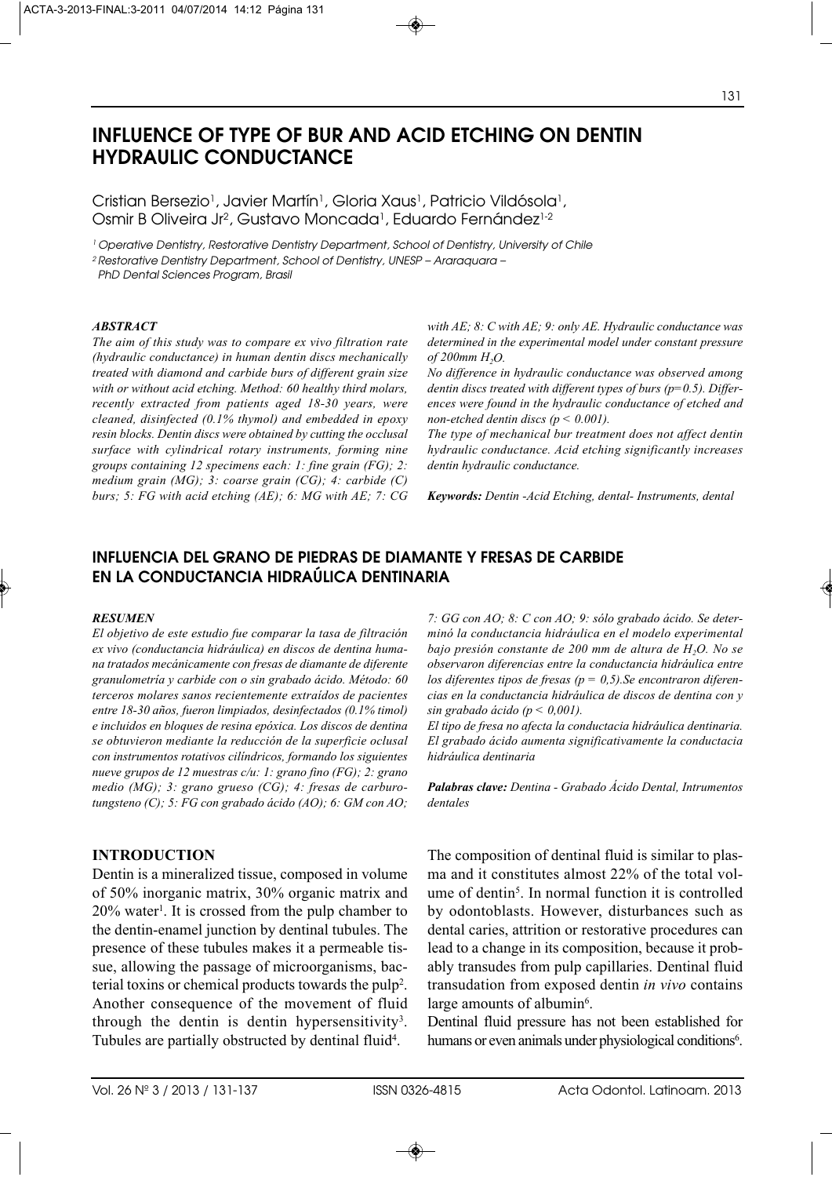# **INFLUENCE OF TYPE OF BUR AND ACID ETCHING ON DENTIN HYDRAULIC CONDUCTANCE**

Cristian Bersezio<sup>1</sup>, Javier Martín<sup>1</sup>, Gloria Xaus<sup>1</sup>, Patricio Vildósola<sup>1</sup>, Osmir B Oliveira Jr<sup>2</sup>, Gustavo Moncada<sup>1</sup>, Eduardo Fernández<sup>1-2</sup>

<sup>1</sup> Operative Dentistry, Restorative Dentistry Department, School of Dentistry, University of Chile

2 Restorative Dentistry Department, School of Dentistry, UNESP – Araraquara –

PhD Dental Sciences Program, Brasil

#### *ABSTRACT*

*The aim of this study was to compare ex vivo filtration rate (hydraulic conductance) in human dentin discs mechanically treated with diamond and carbide burs of different grain size with or without acid etching. Method: 60 healthy third molars, recently extracted from patients aged 18-30 years, were cleaned, disinfected (0.1% thymol) and embedded in epoxy resin blocks. Dentin discs were obtained by cutting the occlusal surface with cylindrical rotary instruments, forming nine groups containing 12 specimens each: 1: fine grain (FG); 2: medium grain (MG); 3: coarse grain (CG); 4: carbide (C) burs; 5: FG with acid etching (AE); 6: MG with AE; 7: CG* *with AE; 8: C with AE; 9: only AE. Hydraulic conductance was determined in the experimental model under constant pressure of 200mm H2O.* 

*No difference in hydraulic conductance was observed among dentin discs treated with different types of burs (p=0.5). Differences were found in the hydraulic conductance of etched and non-etched dentin discs (p < 0.001).*

*The type of mechanical bur treatment does not affect dentin hydraulic conductance. Acid etching significantly increases dentin hydraulic conductance.*

*Keywords: Dentin -Acid Etching, dental- Instruments, dental*

# **INFLUENCIA DEL GRANO DE PIEDRAS DE DIAMANTE Y FRESAS DE CARBIDE EN LA CONDUCTANCIA HIDRAÚLICA DENTINARIA**

#### *RESUMEN*

*El objetivo de este estudio fue comparar la tasa de filtración ex vivo (conductancia hidráulica) en discos de dentina humana tratados mecánicamente con fresas de diamante de diferente granulometría y carbide con o sin grabado ácido. Método: 60 terceros molares sanos recientemente extraídos de pacientes entre 18-30 años, fueron limpiados, desinfectados (0.1% timol) e incluidos en bloques de resina epóxica. Los discos de dentina se obtuvieron mediante la reducción de la superficie oclusal con instrumentos rotativos cilíndricos, formando los siguientes nueve grupos de 12 muestras c/u: 1: grano fino (FG); 2: grano medio (MG); 3: grano grueso (CG); 4: fresas de carburotungsteno (C); 5: FG con grabado ácido (AO); 6: GM con AO;*

#### **INTRODUCTION**

Dentin is a mineralized tissue, composed in volume of 50% inorganic matrix, 30% organic matrix and 20% water<sup>1</sup>. It is crossed from the pulp chamber to the dentin-enamel junction by dentinal tubules. The presence of these tubules makes it a permeable tissue, allowing the passage of microorganisms, bacterial toxins or chemical products towards the pulp<sup>2</sup>. Another consequence of the movement of fluid through the dentin is dentin hypersensitivity3. Tubules are partially obstructed by dentinal fluid<sup>4</sup>.

*7: GG con AO; 8: C con AO; 9: sólo grabado ácido. Se determinó la conductancia hidráulica en el modelo experimental* bajo presión constante de 200 mm de altura de H<sub>2</sub>O. No se *observaron diferencias entre la conductancia hidráulica entre los diferentes tipos de fresas (p = 0,5).Se encontraron diferencias en la conductancia hidráulica de discos de dentina con y sin grabado ácido (p < 0,001).* 

*El tipo de fresa no afecta la conductacia hidráulica dentinaria. El grabado ácido aumenta significativamente la conductacia hidráulica dentinaria*

*Palabras clave: Dentina - Grabado Ácido Dental, Intrumentos dentales*

The composition of dentinal fluid is similar to plasma and it constitutes almost 22% of the total volume of dentin<sup>5</sup>. In normal function it is controlled by odontoblasts. However, disturbances such as dental caries, attrition or restorative procedures can lead to a change in its composition, because it probably transudes from pulp capillaries. Dentinal fluid transudation from exposed dentin *in vivo* contains large amounts of albumin<sup>6</sup>.

Dentinal fluid pressure has not been established for humans or even animals under physiological conditions<sup>6</sup>.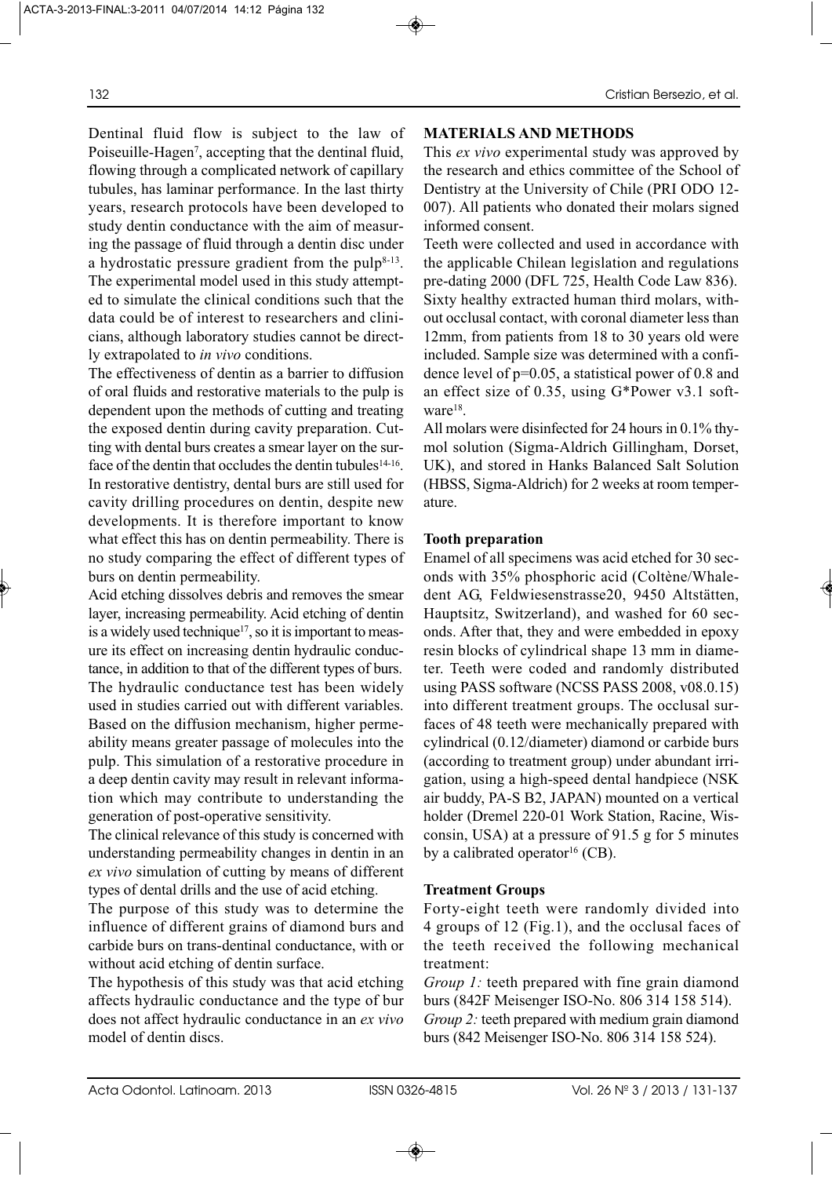Dentinal fluid flow is subject to the law of Poiseuille-Hagen<sup>7</sup>, accepting that the dentinal fluid, flowing through a complicated network of capillary tubules, has laminar performance. In the last thirty years, research protocols have been developed to study dentin conductance with the aim of measuring the passage of fluid through a dentin disc under a hydrostatic pressure gradient from the pulp $8-13$ . The experimental model used in this study attempted to simulate the clinical conditions such that the data could be of interest to researchers and clinicians, although laboratory studies cannot be directly extrapolated to *in vivo* conditions.

The effectiveness of dentin as a barrier to diffusion of oral fluids and restorative materials to the pulp is dependent upon the methods of cutting and treating the exposed dentin during cavity preparation. Cutting with dental burs creates a smear layer on the surface of the dentin that occludes the dentin tubules<sup>14-16</sup>. In restorative dentistry, dental burs are still used for cavity drilling procedures on dentin, despite new developments. It is therefore important to know what effect this has on dentin permeability. There is no study comparing the effect of different types of burs on dentin permeability.

Acid etching dissolves debris and removes the smear layer, increasing permeability. Acid etching of dentin is a widely used technique<sup>17</sup>, so it is important to measure its effect on increasing dentin hydraulic conductance, in addition to that of the different types of burs. The hydraulic conductance test has been widely used in studies carried out with different variables. Based on the diffusion mechanism, higher permeability means greater passage of molecules into the pulp. This simulation of a restorative procedure in a deep dentin cavity may result in relevant information which may contribute to understanding the generation of post-operative sensitivity.

The clinical relevance of this study is concerned with understanding permeability changes in dentin in an *ex vivo* simulation of cutting by means of different types of dental drills and the use of acid etching.

The purpose of this study was to determine the influence of different grains of diamond burs and carbide burs on trans-dentinal conductance, with or without acid etching of dentin surface.

The hypothesis of this study was that acid etching affects hydraulic conductance and the type of bur does not affect hydraulic conductance in an *ex vivo* model of dentin discs.

# **MATERIALS AND METHODS**

This *ex vivo* experimental study was approved by the research and ethics committee of the School of Dentistry at the University of Chile (PRI ODO 12- 007). All patients who donated their molars signed informed consent.

Teeth were collected and used in accordance with the applicable Chilean legislation and regulations pre-dating 2000 (DFL 725, Health Code Law 836). Sixty healthy extracted human third molars, without occlusal contact, with coronal diameter less than 12mm, from patients from 18 to 30 years old were included. Sample size was determined with a confidence level of p=0.05, a statistical power of 0.8 and an effect size of 0.35, using G\*Power v3.1 software<sup>18</sup>.

All molars were disinfected for 24 hours in 0.1% thymol solution (Sigma-Aldrich Gillingham, Dorset, UK), and stored in Hanks Balanced Salt Solution (HBSS, Sigma-Aldrich) for 2 weeks at room temperature.

## **Tooth preparation**

Enamel of all specimens was acid etched for 30 seconds with 35% phosphoric acid (Coltène/Whaledent AG, Feldwiesenstrasse20, 9450 Altstätten, Hauptsitz, Switzerland), and washed for 60 seconds. After that, they and were embedded in epoxy resin blocks of cylindrical shape 13 mm in diameter. Teeth were coded and randomly distributed using PASS software (NCSS PASS 2008, v08.0.15) into different treatment groups. The occlusal surfaces of 48 teeth were mechanically prepared with cylindrical (0.12/diameter) diamond or carbide burs (according to treatment group) under abundant irrigation, using a high-speed dental handpiece (NSK air buddy, PA-S B2, JAPAN) mounted on a vertical holder (Dremel 220-01 Work Station, Racine, Wisconsin, USA) at a pressure of 91.5 g for 5 minutes by a calibrated operator<sup>16</sup> (CB).

## **Treatment Groups**

Forty-eight teeth were randomly divided into 4 groups of 12 (Fig.1), and the occlusal faces of the teeth received the following mechanical treatment:

*Group 1:* teeth prepared with fine grain diamond burs (842F Meisenger ISO-No. 806 314 158 514). *Group 2:* teeth prepared with medium grain diamond burs (842 Meisenger ISO-No. 806 314 158 524).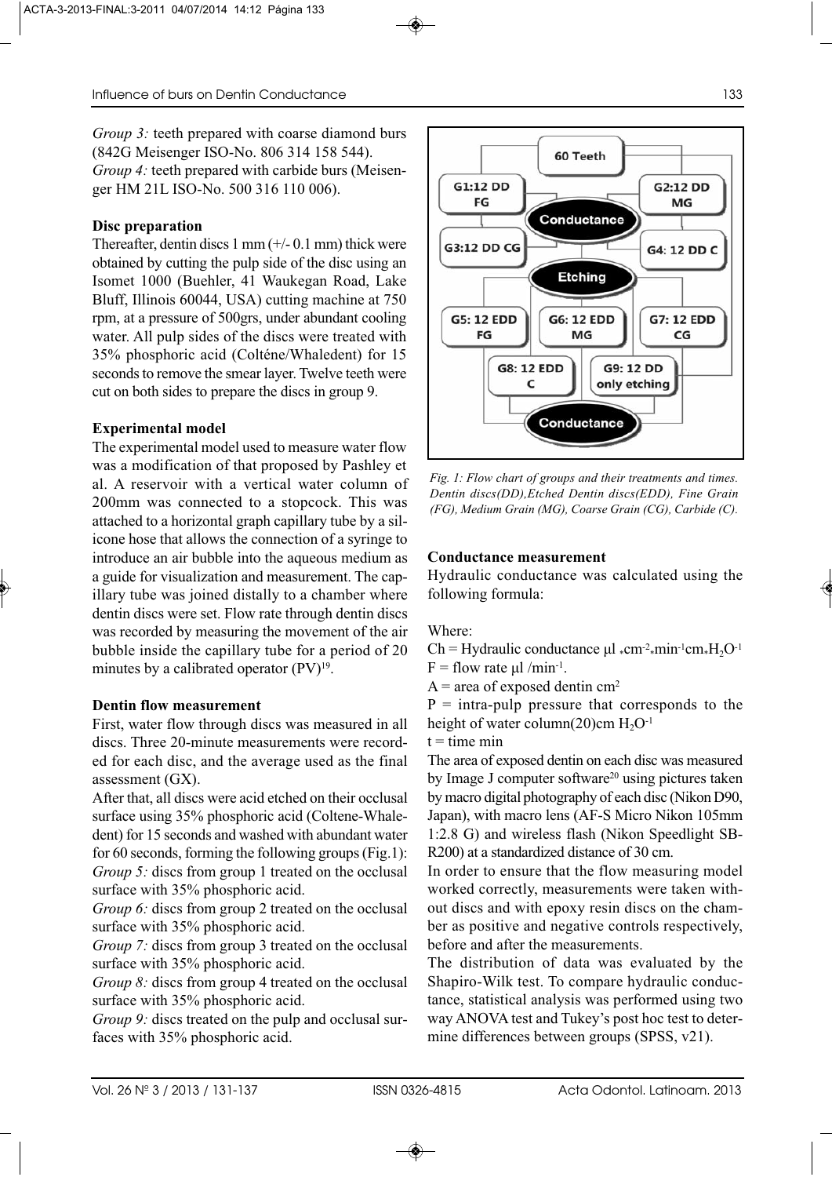*Group 3:* teeth prepared with coarse diamond burs (842G Meisenger ISO-No. 806 314 158 544). *Group 4:* teeth prepared with carbide burs (Meisenger HM 21L ISO-No. 500 316 110 006).

## **Disc preparation**

Thereafter, dentin discs  $1 \text{ mm}$  ( $+/- 0.1 \text{ mm}$ ) thick were obtained by cutting the pulp side of the disc using an Isomet 1000 (Buehler, 41 Waukegan Road, Lake Bluff, Illinois 60044, USA) cutting machine at 750 rpm, at a pressure of 500grs, under abundant cooling water. All pulp sides of the discs were treated with 35% phosphoric acid (Colténe/Whaledent) for 15 seconds to remove the smear layer. Twelve teeth were cut on both sides to prepare the discs in group 9.

## **Experimental model**

The experimental model used to measure water flow was a modification of that proposed by Pashley et al. A reservoir with a vertical water column of 200mm was connected to a stopcock. This was attached to a horizontal graph capillary tube by a silicone hose that allows the connection of a syringe to introduce an air bubble into the aqueous medium as a guide for visualization and measurement. The capillary tube was joined distally to a chamber where dentin discs were set. Flow rate through dentin discs was recorded by measuring the movement of the air bubble inside the capillary tube for a period of 20 minutes by a calibrated operator  $(PV)^{19}$ .

#### **Dentin flow measurement**

First, water flow through discs was measured in all discs. Three 20-minute measurements were recorded for each disc, and the average used as the final assessment (GX).

After that, all discs were acid etched on their occlusal surface using 35% phosphoric acid (Coltene-Whaledent) for 15 seconds and washed with abundant water for 60 seconds, forming the following groups (Fig.1): *Group 5:* discs from group 1 treated on the occlusal surface with 35% phosphoric acid.

*Group 6:* discs from group 2 treated on the occlusal surface with 35% phosphoric acid.

*Group 7:* discs from group 3 treated on the occlusal surface with 35% phosphoric acid.

*Group 8:* discs from group 4 treated on the occlusal surface with 35% phosphoric acid.

*Group 9:* discs treated on the pulp and occlusal surfaces with 35% phosphoric acid.



60 Teeth

Conductance

G1:12 DD

FG

*Fig. 1: Flow chart of groups and their treatments and times. Dentin discs(DD),Etched Dentin discs(EDD), Fine Grain (FG), Medium Grain (MG), Coarse Grain (CG), Carbide (C).*

Conductance

#### **Conductance measurement**

Hydraulic conductance was calculated using the following formula:

Where:

 $Ch = Hyd$ raulic conductance  $\mu l$  «cm<sup>-2</sup> min<sup>-1</sup>cm \* $H_2O^{-1}$  $F =$  flow rate μl /min<sup>-1</sup>.

 $A = area of exposed dentin cm<sup>2</sup>$ 

 $P =$  intra-pulp pressure that corresponds to the height of water column(20)cm  $H_2O^{-1}$ 

 $t =$  time min

The area of exposed dentin on each disc was measured by Image J computer software<sup>20</sup> using pictures taken by macro digital photography of each disc (Nikon D90, Japan), with macro lens (AF-S Micro Nikon 105mm 1:2.8 G) and wireless flash (Nikon Speedlight SB-R200) at a standardized distance of 30 cm.

In order to ensure that the flow measuring model worked correctly, measurements were taken without discs and with epoxy resin discs on the chamber as positive and negative controls respectively, before and after the measurements.

The distribution of data was evaluated by the Shapiro-Wilk test. To compare hydraulic conductance, statistical analysis was performed using two way ANOVA test and Tukey's post hoc test to determine differences between groups (SPSS, v21).

G2:12 DD

MG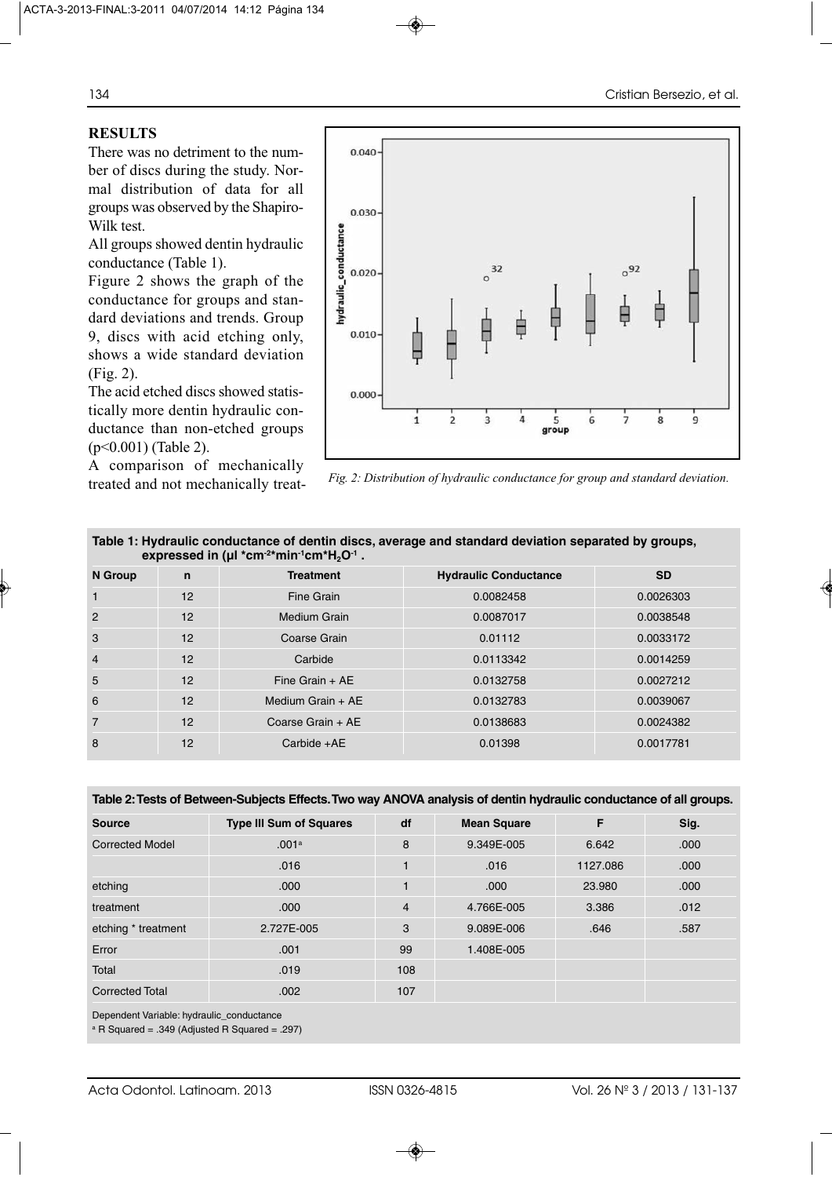# **RESULTS**

There was no detriment to the number of discs during the study. Normal distribution of data for all groups was observed by the Shapiro-Wilk test.

All groups showed dentin hydraulic conductance (Table 1).

Figure 2 shows the graph of the conductance for groups and standard deviations and trends. Group 9, discs with acid etching only, shows a wide standard deviation (Fig. 2).

The acid etched discs showed statistically more dentin hydraulic conductance than non-etched groups (p<0.001) (Table 2).

A comparison of mechanically



treated and not mechanically treat- *Fig. 2: Distribution of hydraulic conductance for group and standard deviation.*

| Table 1: Hydraulic conductance of dentin discs, average and standard deviation separated by groups,<br>expressed in ( $\mu$ I *cm <sup>-2*</sup> min <sup>-1</sup> cm <sup>*</sup> H <sub>2</sub> O <sup>-1</sup> . |             |                     |                              |           |  |  |  |  |
|---------------------------------------------------------------------------------------------------------------------------------------------------------------------------------------------------------------------|-------------|---------------------|------------------------------|-----------|--|--|--|--|
| N Group                                                                                                                                                                                                             | $\mathbf n$ | <b>Treatment</b>    | <b>Hydraulic Conductance</b> | <b>SD</b> |  |  |  |  |
|                                                                                                                                                                                                                     | 12          | Fine Grain          | 0.0082458                    | 0.0026303 |  |  |  |  |
| 2                                                                                                                                                                                                                   | 12          | Medium Grain        | 0.0087017                    | 0.0038548 |  |  |  |  |
| 3                                                                                                                                                                                                                   | 12          | Coarse Grain        | 0.01112                      | 0.0033172 |  |  |  |  |
| $\overline{4}$                                                                                                                                                                                                      | 12          | Carbide             | 0.0113342                    | 0.0014259 |  |  |  |  |
| 5                                                                                                                                                                                                                   | 12          | Fine Grain $+$ AE   | 0.0132758                    | 0.0027212 |  |  |  |  |
| 6                                                                                                                                                                                                                   | 12          | Medium Grain $+$ AE | 0.0132783                    | 0.0039067 |  |  |  |  |
| $\overline{7}$                                                                                                                                                                                                      | 12          | Coarse Grain + AE   | 0.0138683                    | 0.0024382 |  |  |  |  |
| 8                                                                                                                                                                                                                   | 12          | $Carbide +AE$       | 0.01398                      | 0.0017781 |  |  |  |  |

| <b>Source</b>          | <b>Type III Sum of Squares</b> | df             | <b>Mean Square</b> | F        | Sig. |
|------------------------|--------------------------------|----------------|--------------------|----------|------|
| <b>Corrected Model</b> | .001a                          | 8              | 9.349E-005         | 6.642    | .000 |
|                        | .016                           |                | .016               | 1127.086 | .000 |
| etching                | .000                           |                | .000               | 23,980   | .000 |
| treatment              | .000                           | $\overline{4}$ | 4.766E-005         | 3.386    | .012 |
| etching * treatment    | 2.727E-005                     | 3              | 9.089E-006         | .646     | .587 |
| Error                  | .001                           | 99             | 1.408E-005         |          |      |
| Total                  | .019                           | 108            |                    |          |      |
| <b>Corrected Total</b> | .002                           | 107            |                    |          |      |

Dependent Variable: hydraulic\_conductance

 $^{\circ}$  R Squared = .349 (Adjusted R Squared = .297)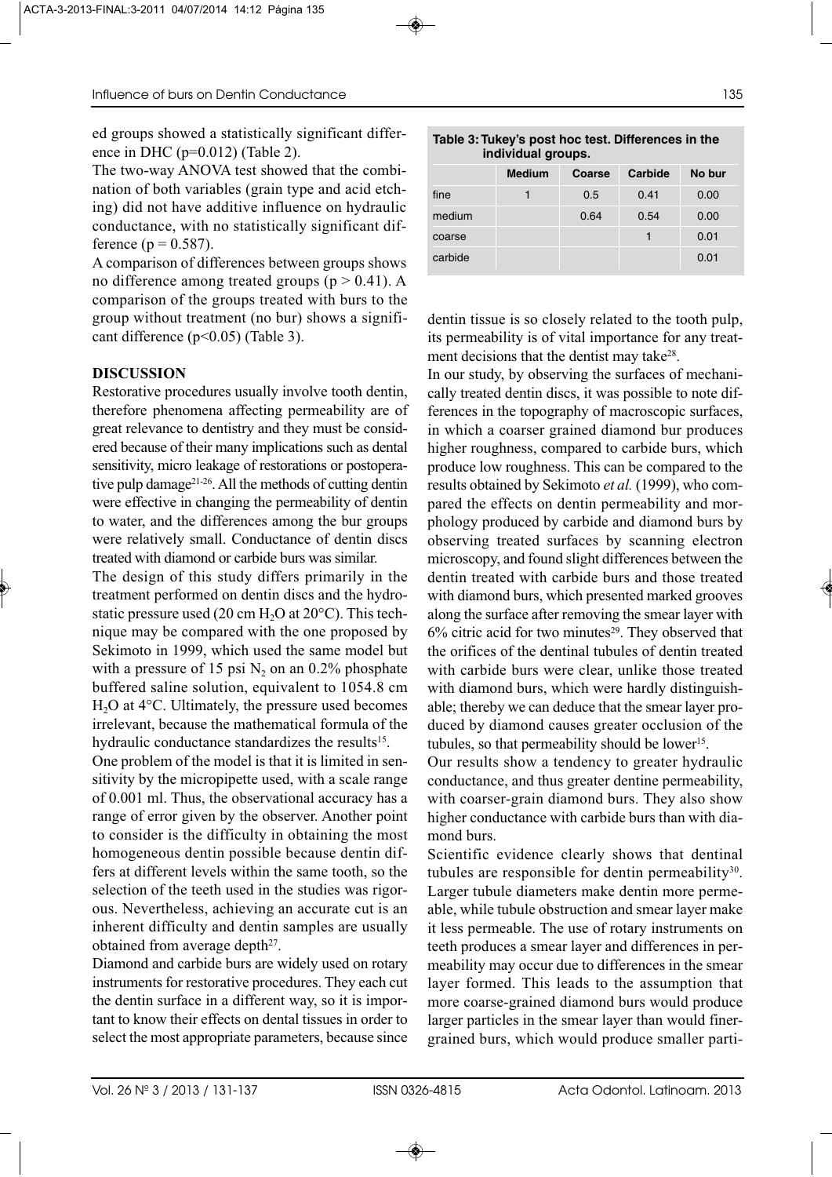ed groups showed a statistically significant difference in DHC ( $p=0.012$ ) (Table 2).

The two-way ANOVA test showed that the combination of both variables (grain type and acid etching) did not have additive influence on hydraulic conductance, with no statistically significant difference ( $p = 0.587$ ).

A comparison of differences between groups shows no difference among treated groups ( $p > 0.41$ ). A comparison of the groups treated with burs to the group without treatment (no bur) shows a significant difference (p<0.05) (Table 3).

# **DISCUSSION**

Restorative procedures usually involve tooth dentin, therefore phenomena affecting permeability are of great relevance to dentistry and they must be considered because of their many implications such as dental sensitivity, micro leakage of restorations or postoperative pulp damage<sup>21-26</sup>. All the methods of cutting dentin were effective in changing the permeability of dentin to water, and the differences among the bur groups were relatively small. Conductance of dentin discs treated with diamond or carbide burs was similar.

The design of this study differs primarily in the treatment performed on dentin discs and the hydrostatic pressure used (20 cm  $H_2O$  at 20 $^{\circ}$ C). This technique may be compared with the one proposed by Sekimoto in 1999, which used the same model but with a pressure of 15 psi  $N_2$  on an 0.2% phosphate buffered saline solution, equivalent to 1054.8 cm  $H<sub>2</sub>O$  at 4 $\degree$ C. Ultimately, the pressure used becomes irrelevant, because the mathematical formula of the hydraulic conductance standardizes the results<sup>15</sup>.

One problem of the model is that it is limited in sensitivity by the micropipette used, with a scale range of 0.001 ml. Thus, the observational accuracy has a range of error given by the observer. Another point to consider is the difficulty in obtaining the most homogeneous dentin possible because dentin differs at different levels within the same tooth, so the selection of the teeth used in the studies was rigorous. Nevertheless, achieving an accurate cut is an inherent difficulty and dentin samples are usually obtained from average depth $2^7$ .

Diamond and carbide burs are widely used on rotary instruments for restorative procedures. They each cut the dentin surface in a different way, so it is important to know their effects on dental tissues in order to select the most appropriate parameters, because since

| Table 3: Tukey's post hoc test. Differences in the |  |
|----------------------------------------------------|--|
| individual groups.                                 |  |

|         | <b>Medium</b> | <b>Coarse</b> | Carbide | No bur |
|---------|---------------|---------------|---------|--------|
| fine    |               | 0.5           | 0.41    | 0.00   |
| medium  |               | 0.64          | 0.54    | 0.00   |
| coarse  |               |               |         | 0.01   |
| carbide |               |               |         | 0.01   |

dentin tissue is so closely related to the tooth pulp, its permeability is of vital importance for any treatment decisions that the dentist may take<sup>28</sup>.

In our study, by observing the surfaces of mechanically treated dentin discs, it was possible to note differences in the topography of macroscopic surfaces, in which a coarser grained diamond bur produces higher roughness, compared to carbide burs, which produce low roughness. This can be compared to the results obtained by Sekimoto *et al.* (1999), who compared the effects on dentin permeability and morphology produced by carbide and diamond burs by observing treated surfaces by scanning electron microscopy, and found slight differences between the dentin treated with carbide burs and those treated with diamond burs, which presented marked grooves along the surface after removing the smear layer with  $6\%$  citric acid for two minutes<sup>29</sup>. They observed that the orifices of the dentinal tubules of dentin treated with carbide burs were clear, unlike those treated with diamond burs, which were hardly distinguishable; thereby we can deduce that the smear layer produced by diamond causes greater occlusion of the tubules, so that permeability should be lower<sup>15</sup>.

Our results show a tendency to greater hydraulic conductance, and thus greater dentine permeability, with coarser-grain diamond burs. They also show higher conductance with carbide burs than with diamond burs.

Scientific evidence clearly shows that dentinal tubules are responsible for dentin permeability $30$ . Larger tubule diameters make dentin more permeable, while tubule obstruction and smear layer make it less permeable. The use of rotary instruments on teeth produces a smear layer and differences in permeability may occur due to differences in the smear layer formed. This leads to the assumption that more coarse-grained diamond burs would produce larger particles in the smear layer than would finergrained burs, which would produce smaller parti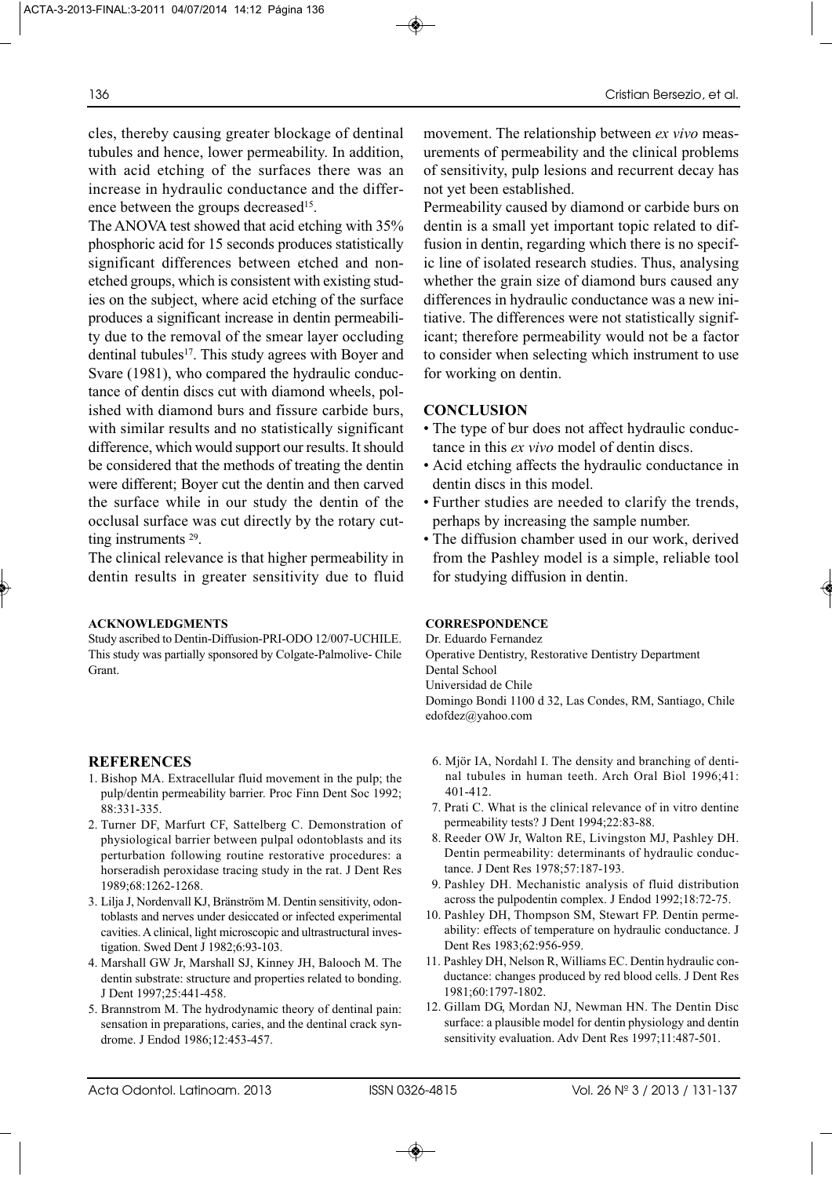cles, thereby causing greater blockage of dentinal tubules and hence, lower permeability. In addition, with acid etching of the surfaces there was an increase in hydraulic conductance and the difference between the groups decreased<sup>15</sup>.

The ANOVA test showed that acid etching with 35% phosphoric acid for 15 seconds produces statistically significant differences between etched and nonetched groups, which is consistent with existing studies on the subject, where acid etching of the surface produces a significant increase in dentin permeability due to the removal of the smear layer occluding dentinal tubules<sup>17</sup>. This study agrees with Boyer and Svare (1981), who compared the hydraulic conductance of dentin discs cut with diamond wheels, polished with diamond burs and fissure carbide burs, with similar results and no statistically significant difference, which would support our results. It should be considered that the methods of treating the dentin were different; Boyer cut the dentin and then carved the surface while in our study the dentin of the occlusal surface was cut directly by the rotary cutting instruments 29.

The clinical relevance is that higher permeability in dentin results in greater sensitivity due to fluid

#### **ACKNOWLEDGMENTS**

Study ascribed to Dentin-Diffusion-PRI-ODO 12/007-UCHILE. This study was partially sponsored by Colgate-Palmolive- Chile Grant.

#### **REFERENCES**

- 1. Bishop MA. Extracellular fluid movement in the pulp; the pulp/dentin permeability barrier. Proc Finn Dent Soc 1992; 88:331-335.
- 2. Turner DF, Marfurt CF, Sattelberg C. Demonstration of physiological barrier between pulpal odontoblasts and its perturbation following routine restorative procedures: a horseradish peroxidase tracing study in the rat. J Dent Res 1989;68:1262-1268.
- 3. Lilja J, Nordenvall KJ, Bränström M. Dentin sensitivity, odontoblasts and nerves under desiccated or infected experimental cavities. A clinical, light microscopic and ultrastructural investigation. Swed Dent J 1982;6:93-103.
- 4. Marshall GW Jr, Marshall SJ, Kinney JH, Balooch M. The dentin substrate: structure and properties related to bonding. J Dent 1997;25:441-458.
- 5. Brannstrom M. The hydrodynamic theory of dentinal pain: sensation in preparations, caries, and the dentinal crack syndrome. J Endod 1986;12:453-457.

movement. The relationship between *ex vivo* measurements of permeability and the clinical problems of sensitivity, pulp lesions and recurrent decay has not yet been established.

Permeability caused by diamond or carbide burs on dentin is a small yet important topic related to diffusion in dentin, regarding which there is no specific line of isolated research studies. Thus, analysing whether the grain size of diamond burs caused any differences in hydraulic conductance was a new initiative. The differences were not statistically significant; therefore permeability would not be a factor to consider when selecting which instrument to use for working on dentin.

#### **CONCLUSION**

- The type of bur does not affect hydraulic conductance in this *ex vivo* model of dentin discs.
- Acid etching affects the hydraulic conductance in dentin discs in this model.
- Further studies are needed to clarify the trends, perhaps by increasing the sample number.
- The diffusion chamber used in our work, derived from the Pashley model is a simple, reliable tool for studying diffusion in dentin.

#### **CORRESPONDENCE**

Dr. Eduardo Fernandez Operative Dentistry, Restorative Dentistry Department Dental School Universidad de Chile Domingo Bondi 1100 d 32, Las Condes, RM, Santiago, Chile edofdez@yahoo.com

- 6. Mjör IA, Nordahl I. The density and branching of dentinal tubules in human teeth. Arch Oral Biol 1996;41: 401-412.
- 7. Prati C. What is the clinical relevance of in vitro dentine permeability tests? J Dent 1994;22:83-88.
- 8. Reeder OW Jr, Walton RE, Livingston MJ, Pashley DH. Dentin permeability: determinants of hydraulic conductance. J Dent Res 1978;57:187-193.
- 9. Pashley DH. Mechanistic analysis of fluid distribution across the pulpodentin complex. J Endod 1992;18:72-75.
- 10. Pashley DH, Thompson SM, Stewart FP. Dentin permeability: effects of temperature on hydraulic conductance. J Dent Res 1983;62:956-959.
- 11. Pashley DH, Nelson R, Williams EC. Dentin hydraulic conductance: changes produced by red blood cells. J Dent Res 1981;60:1797-1802.
- 12. Gillam DG, Mordan NJ, Newman HN. The Dentin Disc surface: a plausible model for dentin physiology and dentin sensitivity evaluation. Adv Dent Res 1997;11:487-501.